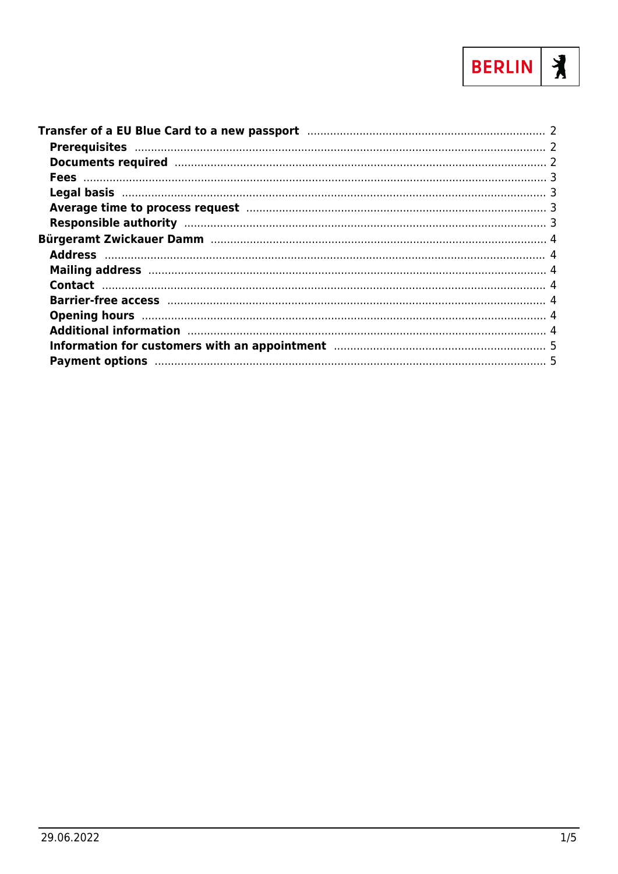

| Mailing address manufactured and a series of the state of the state of the state of the state of the state of the state of the state of the state of the state of the state of the state of the state of the state of the stat |  |
|--------------------------------------------------------------------------------------------------------------------------------------------------------------------------------------------------------------------------------|--|
|                                                                                                                                                                                                                                |  |
|                                                                                                                                                                                                                                |  |
|                                                                                                                                                                                                                                |  |
|                                                                                                                                                                                                                                |  |
| Information for customers with an appointment manufactured and successive states and 5                                                                                                                                         |  |
|                                                                                                                                                                                                                                |  |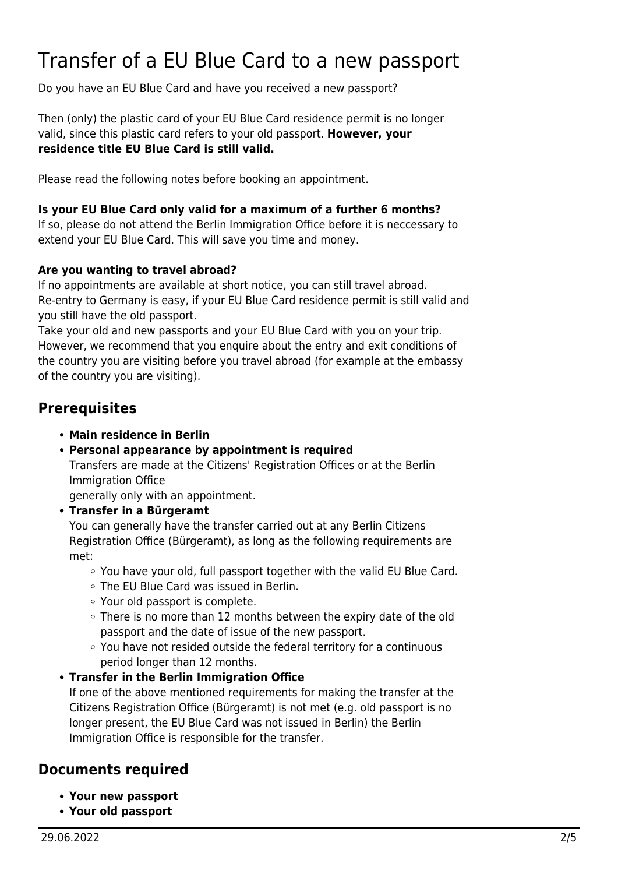# <span id="page-1-0"></span>Transfer of a EU Blue Card to a new passport

Do you have an EU Blue Card and have you received a new passport?

Then (only) the plastic card of your EU Blue Card residence permit is no longer valid, since this plastic card refers to your old passport. **However, your residence title EU Blue Card is still valid.**

Please read the following notes before booking an appointment.

#### **Is your EU Blue Card only valid for a maximum of a further 6 months?**

If so, please do not attend the Berlin Immigration Office before it is neccessary to extend your EU Blue Card. This will save you time and money.

#### **Are you wanting to travel abroad?**

If no appointments are available at short notice, you can still travel abroad. Re-entry to Germany is easy, if your EU Blue Card residence permit is still valid and you still have the old passport.

Take your old and new passports and your EU Blue Card with you on your trip. However, we recommend that you enquire about the entry and exit conditions of the country you are visiting before you travel abroad (for example at the embassy of the country you are visiting).

### <span id="page-1-1"></span>**Prerequisites**

- **Main residence in Berlin**
- **Personal appearance by appointment is required**

Transfers are made at the Citizens' Registration Offices or at the Berlin Immigration Office

generally only with an appointment.

**Transfer in a Bürgeramt**

You can generally have the transfer carried out at any Berlin Citizens Registration Office (Bürgeramt), as long as the following requirements are met:

- You have your old, full passport together with the valid EU Blue Card.
- The EU Blue Card was issued in Berlin.
- Your old passport is complete.
- $\circ$  There is no more than 12 months between the expiry date of the old passport and the date of issue of the new passport.
- You have not resided outside the federal territory for a continuous period longer than 12 months.
- **Transfer in the Berlin Immigration Office** If one of the above mentioned requirements for making the transfer at the Citizens Registration Office (Bürgeramt) is not met (e.g. old passport is no longer present, the EU Blue Card was not issued in Berlin) the Berlin Immigration Office is responsible for the transfer.

### <span id="page-1-2"></span>**Documents required**

- **Your new passport**
- **Your old passport**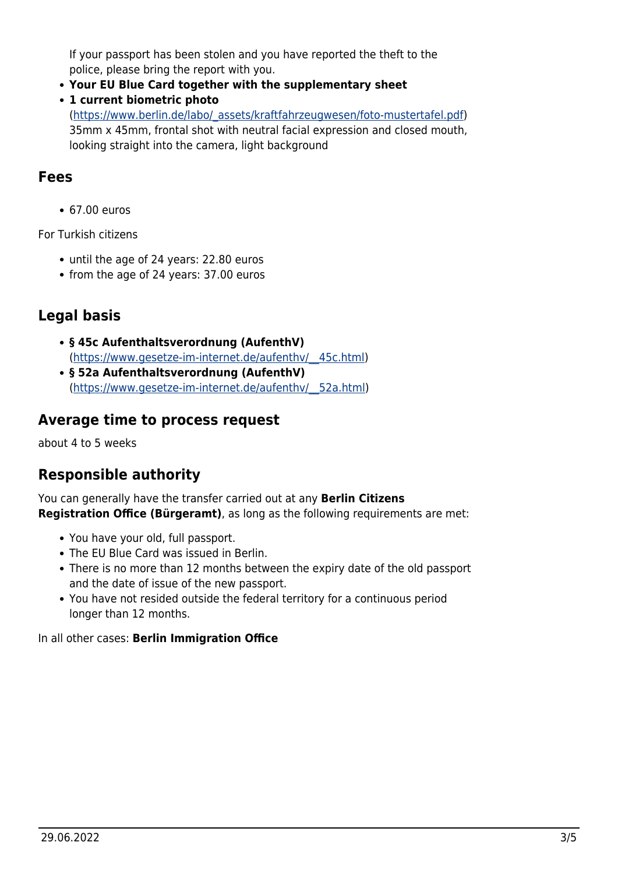If your passport has been stolen and you have reported the theft to the police, please bring the report with you.

- **Your EU Blue Card together with the supplementary sheet**
- **1 current biometric photo**

([https://www.berlin.de/labo/\\_assets/kraftfahrzeugwesen/foto-mustertafel.pdf\)](https://www.berlin.de/labo/_assets/kraftfahrzeugwesen/foto-mustertafel.pdf) 35mm x 45mm, frontal shot with neutral facial expression and closed mouth, looking straight into the camera, light background

### <span id="page-2-0"></span>**Fees**

67.00 euros

For Turkish citizens

- until the age of 24 years: 22.80 euros
- from the age of 24 years: 37.00 euros

# <span id="page-2-1"></span>**Legal basis**

- **§ 45c Aufenthaltsverordnung (AufenthV)** ([https://www.gesetze-im-internet.de/aufenthv/\\_\\_45c.html](https://www.gesetze-im-internet.de/aufenthv/__45c.html))
- **§ 52a Aufenthaltsverordnung (AufenthV)** ([https://www.gesetze-im-internet.de/aufenthv/\\_\\_52a.html\)](https://www.gesetze-im-internet.de/aufenthv/__52a.html)

### <span id="page-2-2"></span>**Average time to process request**

about 4 to 5 weeks

## <span id="page-2-3"></span>**Responsible authority**

You can generally have the transfer carried out at any **Berlin Citizens Registration Office (Bürgeramt)**, as long as the following requirements are met:

- You have your old, full passport.
- The EU Blue Card was issued in Berlin.
- There is no more than 12 months between the expiry date of the old passport and the date of issue of the new passport.
- You have not resided outside the federal territory for a continuous period longer than 12 months.

In all other cases: **Berlin Immigration Office**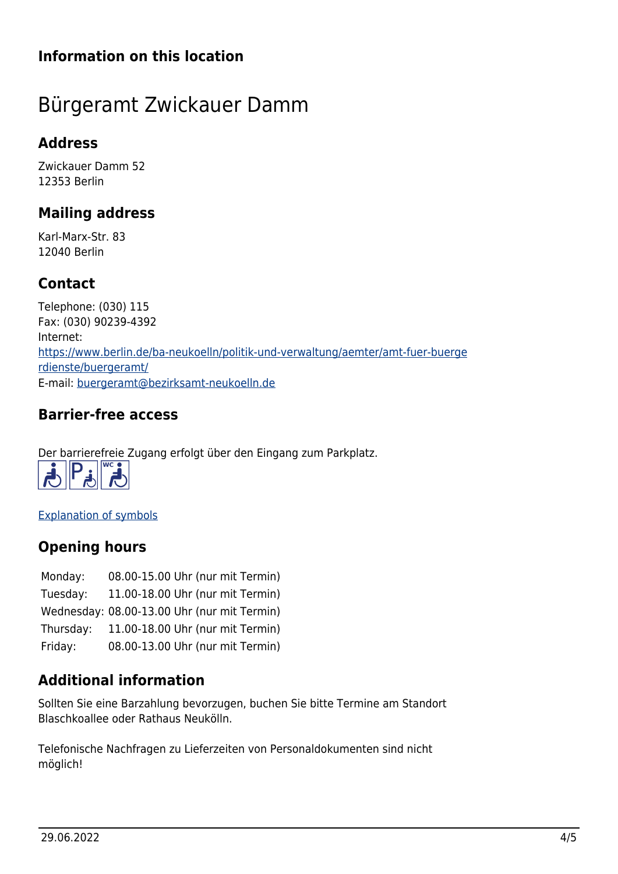# **Information on this location**

# <span id="page-3-0"></span>Bürgeramt Zwickauer Damm

# <span id="page-3-1"></span>**Address**

Zwickauer Damm 52 12353 Berlin

## <span id="page-3-2"></span>**Mailing address**

Karl-Marx-Str. 83 12040 Berlin

# <span id="page-3-3"></span>**Contact**

Telephone: (030) 115 Fax: (030) 90239-4392 Internet: [https://www.berlin.de/ba-neukoelln/politik-und-verwaltung/aemter/amt-fuer-buerge](https://www.berlin.de/ba-neukoelln/politik-und-verwaltung/aemter/amt-fuer-buergerdienste/buergeramt/) [rdienste/buergeramt/](https://www.berlin.de/ba-neukoelln/politik-und-verwaltung/aemter/amt-fuer-buergerdienste/buergeramt/) E-mail: [buergeramt@bezirksamt-neukoelln.de](mailto:buergeramt@bezirksamt-neukoelln.de)

# <span id="page-3-4"></span>**Barrier-free access**

Der barrierefreie Zugang erfolgt über den Eingang zum Parkplatz.



[Explanation of symbols](https://service.berlin.de/hinweise/artikel.2699.php)

# <span id="page-3-5"></span>**Opening hours**

| Monday:   | 08.00-15.00 Uhr (nur mit Termin)            |
|-----------|---------------------------------------------|
| Tuesday:  | 11.00-18.00 Uhr (nur mit Termin)            |
|           | Wednesday: 08.00-13.00 Uhr (nur mit Termin) |
| Thursday: | 11.00-18.00 Uhr (nur mit Termin)            |
| Friday:   | 08.00-13.00 Uhr (nur mit Termin)            |

# <span id="page-3-6"></span>**Additional information**

Sollten Sie eine Barzahlung bevorzugen, buchen Sie bitte Termine am Standort Blaschkoallee oder Rathaus Neukölln.

Telefonische Nachfragen zu Lieferzeiten von Personaldokumenten sind nicht möglich!